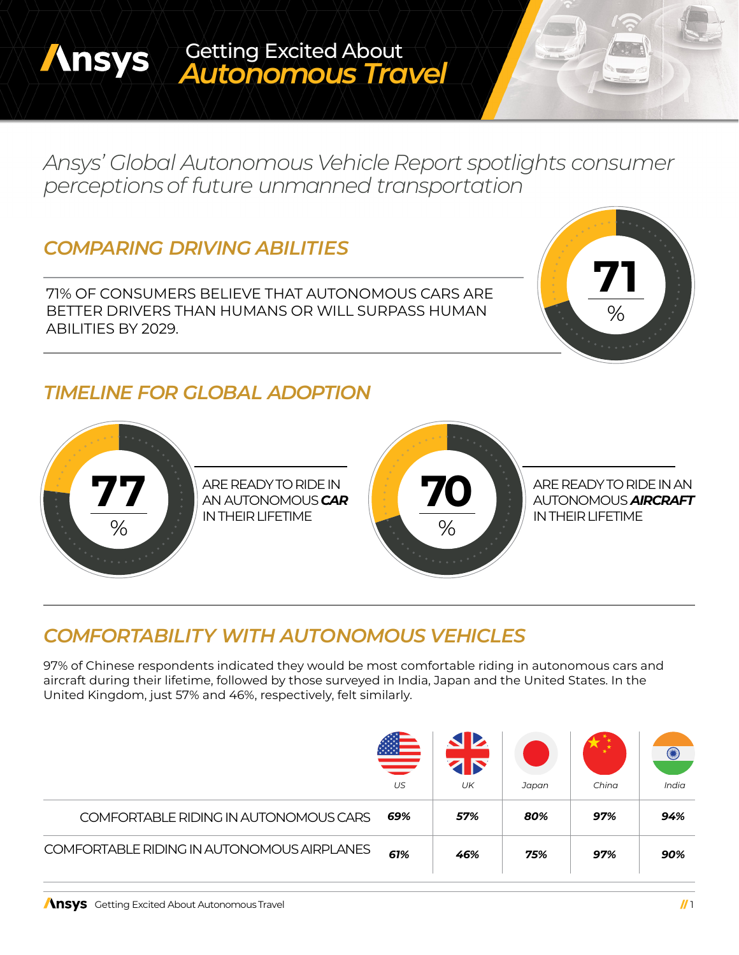#### Getting Excited About **Ansys** *Autonomous Travel*

*Ansys' Global Autonomous Vehicle Report spotlights consumer perceptionsof future unmanned transportation*

# *COMPARING DRIVING ABILITIES*

71% OF CONSUMERS BELIEVE THAT AUTONOMOUS CARS ARE BETTER DRIVERS THAN HUMANS OR WILL SURPASS HUMAN ABILITIES BY 2029.

# $\frac{1}{2}$ **71**

### *TIMELINE FOR GLOBAL ADOPTION*



# *COMFORTABILITY WITH AUTONOMOUS VEHICLES*

97% of Chinese respondents indicated they would be most comfortable riding in autonomous cars and aircraft during their lifetime, followed by those surveyed in India, Japan and the United States. In the United Kingdom, just 57% and 46%, respectively, felt similarly.

|                                            | <b>第3</b><br>US | UK  | Japan | China | $\left( \begin{smallmatrix} \bullet & \bullet \end{smallmatrix} \right)$<br>India |
|--------------------------------------------|-----------------|-----|-------|-------|-----------------------------------------------------------------------------------|
| COMFORTABLE RIDING IN AUTONOMOUS CARS      | 69%             | 57% | 80%   | 97%   | 94%                                                                               |
| COMFORTABLE RIDING IN AUTONOMOUS AIRPLANES | 61%             | 46% | 75%   | 97%   | 90%                                                                               |